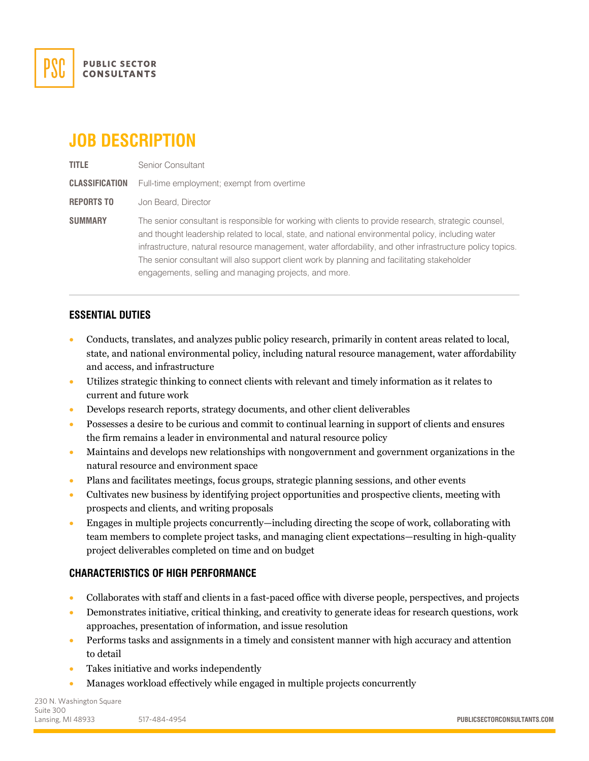

# **JOB DESCRIPTION**

**TITLE** Senior Consultant **CLASSIFICATION** Full-time employment; exempt from overtime **REPORTS TO** Jon Beard, Director **SUMMARY** The senior consultant is responsible for working with clients to provide research, strategic counsel,

and thought leadership related to local, state, and national environmental policy, including water infrastructure, natural resource management, water affordability, and other infrastructure policy topics. The senior consultant will also support client work by planning and facilitating stakeholder engagements, selling and managing projects, and more.

## **ESSENTIAL DUTIES**

- Conducts, translates, and analyzes public policy research, primarily in content areas related to local, state, and national environmental policy, including natural resource management, water affordability and access, and infrastructure
- Utilizes strategic thinking to connect clients with relevant and timely information as it relates to current and future work
- Develops research reports, strategy documents, and other client deliverables
- Possesses a desire to be curious and commit to continual learning in support of clients and ensures the firm remains a leader in environmental and natural resource policy
- Maintains and develops new relationships with nongovernment and government organizations in the natural resource and environment space
- Plans and facilitates meetings, focus groups, strategic planning sessions, and other events
- Cultivates new business by identifying project opportunities and prospective clients, meeting with prospects and clients, and writing proposals
- Engages in multiple projects concurrently—including directing the scope of work, collaborating with team members to complete project tasks, and managing client expectations—resulting in high-quality project deliverables completed on time and on budget

#### **CHARACTERISTICS OF HIGH PERFORMANCE**

- Collaborates with staff and clients in a fast-paced office with diverse people, perspectives, and projects
- Demonstrates initiative, critical thinking, and creativity to generate ideas for research questions, work approaches, presentation of information, and issue resolution
- Performs tasks and assignments in a timely and consistent manner with high accuracy and attention to detail
- Takes initiative and works independently
- Manages workload effectively while engaged in multiple projects concurrently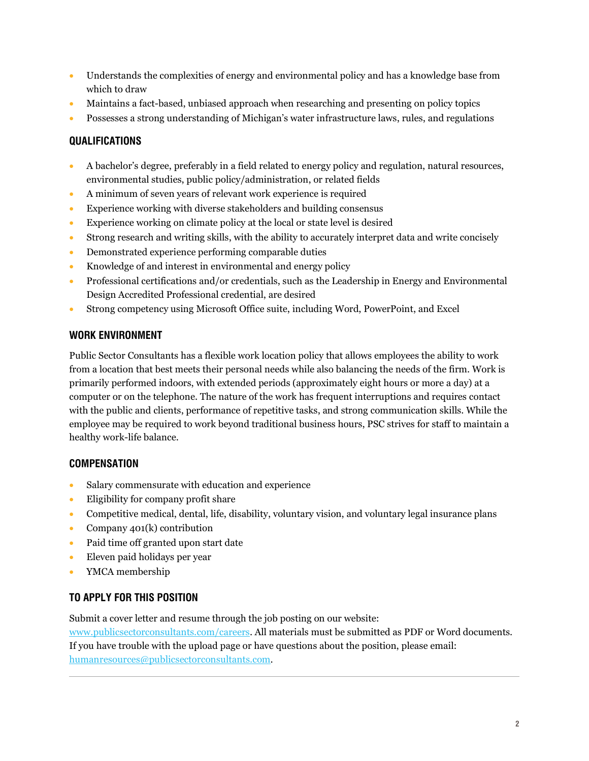- Understands the complexities of energy and environmental policy and has a knowledge base from which to draw
- Maintains a fact-based, unbiased approach when researching and presenting on policy topics
- Possesses a strong understanding of Michigan's water infrastructure laws, rules, and regulations

## **QUALIFICATIONS**

- A bachelor's degree, preferably in a field related to energy policy and regulation, natural resources, environmental studies, public policy/administration, or related fields
- A minimum of seven years of relevant work experience is required
- Experience working with diverse stakeholders and building consensus
- Experience working on climate policy at the local or state level is desired
- Strong research and writing skills, with the ability to accurately interpret data and write concisely
- Demonstrated experience performing comparable duties
- Knowledge of and interest in environmental and energy policy
- Professional certifications and/or credentials, such as the Leadership in Energy and Environmental Design Accredited Professional credential, are desired
- Strong competency using Microsoft Office suite, including Word, PowerPoint, and Excel

## **WORK ENVIRONMENT**

Public Sector Consultants has a flexible work location policy that allows employees the ability to work from a location that best meets their personal needs while also balancing the needs of the firm. Work is primarily performed indoors, with extended periods (approximately eight hours or more a day) at a computer or on the telephone. The nature of the work has frequent interruptions and requires contact with the public and clients, performance of repetitive tasks, and strong communication skills. While the employee may be required to work beyond traditional business hours, PSC strives for staff to maintain a healthy work-life balance.

# **COMPENSATION**

- Salary commensurate with education and experience
- Eligibility for company profit share
- Competitive medical, dental, life, disability, voluntary vision, and voluntary legal insurance plans
- Company 401(k) contribution
- Paid time off granted upon start date
- Eleven paid holidays per year
- YMCA membership

# **TO APPLY FOR THIS POSITION**

Submit a cover letter and resume through the job posting on our website:

[www.publicsectorconsultants.com/careers.](http://www.publicsectorconsultants.com/careers) All materials must be submitted as PDF or Word documents. If you have trouble with the upload page or have questions about the position, please email: [humanresources@publicsectorconsultants.com.](mailto:humanresources@publicsectorconsultants.com)